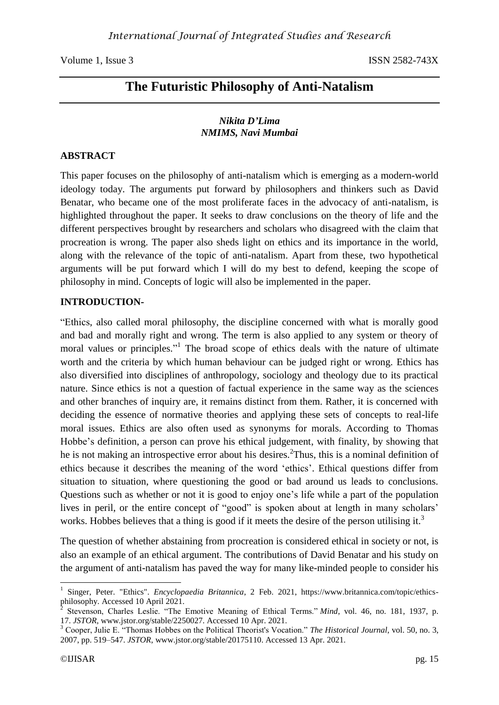# **The Futuristic Philosophy of Anti-Natalism**

#### *Nikita D'Lima NMIMS, Navi Mumbai*

#### **ABSTRACT**

This paper focuses on the philosophy of anti-natalism which is emerging as a modern-world ideology today. The arguments put forward by philosophers and thinkers such as David Benatar, who became one of the most proliferate faces in the advocacy of anti-natalism, is highlighted throughout the paper. It seeks to draw conclusions on the theory of life and the different perspectives brought by researchers and scholars who disagreed with the claim that procreation is wrong. The paper also sheds light on ethics and its importance in the world, along with the relevance of the topic of anti-natalism. Apart from these, two hypothetical arguments will be put forward which I will do my best to defend, keeping the scope of philosophy in mind. Concepts of logic will also be implemented in the paper.

#### **INTRODUCTION-**

"Ethics, also called moral philosophy, the discipline concerned with what is morally good and bad and morally right and wrong. The term is also applied to any system or theory of moral values or principles."<sup>1</sup> The broad scope of ethics deals with the nature of ultimate worth and the criteria by which human behaviour can be judged right or wrong. Ethics has also diversified into disciplines of anthropology, sociology and theology due to its practical nature. Since ethics is not a question of factual experience in the same way as the sciences and other branches of inquiry are, it remains distinct from them. Rather, it is concerned with deciding the essence of normative theories and applying these sets of concepts to real-life moral issues. Ethics are also often used as synonyms for morals. According to Thomas Hobbe's definition, a person can prove his ethical judgement, with finality, by showing that he is not making an introspective error about his desires. <sup>2</sup>Thus, this is a nominal definition of ethics because it describes the meaning of the word 'ethics'. Ethical questions differ from situation to situation, where questioning the good or bad around us leads to conclusions. Questions such as whether or not it is good to enjoy one's life while a part of the population lives in peril, or the entire concept of "good" is spoken about at length in many scholars' works. Hobbes believes that a thing is good if it meets the desire of the person utilising it.<sup>3</sup>

The question of whether abstaining from procreation is considered ethical in society or not, is also an example of an ethical argument. The contributions of David Benatar and his study on the argument of anti-natalism has paved the way for many like-minded people to consider his

1

<sup>1</sup> Singer, Peter. "Ethics". *Encyclopaedia Britannica*, 2 Feb. 2021, https://www.britannica.com/topic/ethicsphilosophy. Accessed 10 April 2021.

 $\bar{2}$ Stevenson, Charles Leslie. "The Emotive Meaning of Ethical Terms." *Mind*, vol. 46, no. 181, 1937, p. 17. *JSTOR*, www.jstor.org/stable/2250027. Accessed 10 Apr. 2021.

<sup>3</sup> Cooper, Julie E. "Thomas Hobbes on the Political Theorist's Vocation." *The Historical Journal*, vol. 50, no. 3, 2007, pp. 519–547. *JSTOR*, www.jstor.org/stable/20175110. Accessed 13 Apr. 2021.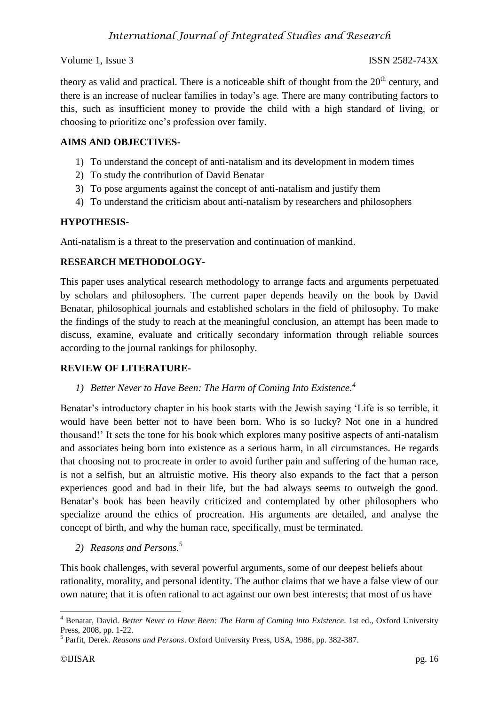theory as valid and practical. There is a noticeable shift of thought from the  $20<sup>th</sup>$  century, and there is an increase of nuclear families in today's age. There are many contributing factors to this, such as insufficient money to provide the child with a high standard of living, or choosing to prioritize one's profession over family.

## **AIMS AND OBJECTIVES-**

- 1) To understand the concept of anti-natalism and its development in modern times
- 2) To study the contribution of David Benatar
- 3) To pose arguments against the concept of anti-natalism and justify them
- 4) To understand the criticism about anti-natalism by researchers and philosophers

## **HYPOTHESIS-**

Anti-natalism is a threat to the preservation and continuation of mankind.

### **RESEARCH METHODOLOGY-**

This paper uses analytical research methodology to arrange facts and arguments perpetuated by scholars and philosophers. The current paper depends heavily on the book by David Benatar, philosophical journals and established scholars in the field of philosophy. To make the findings of the study to reach at the meaningful conclusion, an attempt has been made to discuss, examine, evaluate and critically secondary information through reliable sources according to the journal rankings for philosophy.

### **REVIEW OF LITERATURE-**

## *1) Better Never to Have Been: The Harm of Coming Into Existence. 4*

Benatar's introductory chapter in his book starts with the Jewish saying 'Life is so terrible, it would have been better not to have been born. Who is so lucky? Not one in a hundred thousand!' It sets the tone for his book which explores many positive aspects of anti-natalism and associates being born into existence as a serious harm, in all circumstances. He regards that choosing not to procreate in order to avoid further pain and suffering of the human race, is not a selfish, but an altruistic motive. His theory also expands to the fact that a person experiences good and bad in their life, but the bad always seems to outweigh the good. Benatar's book has been heavily criticized and contemplated by other philosophers who specialize around the ethics of procreation. His arguments are detailed, and analyse the concept of birth, and why the human race, specifically, must be terminated.

*2) Reasons and Persons.*<sup>5</sup>

This book challenges, with several powerful arguments, some of our deepest beliefs about rationality, morality, and personal identity. The author claims that we have a false view of our own nature; that it is often rational to act against our own best interests; that most of us have

<sup>1</sup> <sup>4</sup> Benatar, David. *Better Never to Have Been: The Harm of Coming into Existence*. 1st ed., Oxford University Press, 2008, pp. 1-22.

<sup>5</sup> Parfit, Derek. *Reasons and Persons*. Oxford University Press, USA, 1986, pp. 382-387.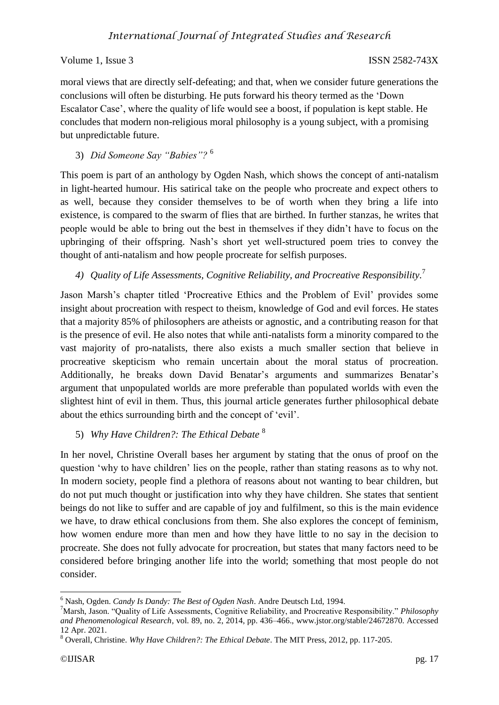## *International Journal of Integrated Studies and Research*

#### Volume 1, Issue 3 ISSN 2582-743X

moral views that are directly self-defeating; and that, when we consider future generations the conclusions will often be disturbing. He puts forward his theory termed as the 'Down Escalator Case', where the quality of life would see a boost, if population is kept stable. He concludes that modern non-religious moral philosophy is a young subject, with a promising but unpredictable future.

3) *Did Someone Say "Babies"?* <sup>6</sup>

This poem is part of an anthology by Ogden Nash, which shows the concept of anti-natalism in light-hearted humour. His satirical take on the people who procreate and expect others to as well, because they consider themselves to be of worth when they bring a life into existence, is compared to the swarm of flies that are birthed. In further stanzas, he writes that people would be able to bring out the best in themselves if they didn't have to focus on the upbringing of their offspring. Nash's short yet well-structured poem tries to convey the thought of anti-natalism and how people procreate for selfish purposes.

*4) Quality of Life Assessments, Cognitive Reliability, and Procreative Responsibility.* 7

Jason Marsh's chapter titled 'Procreative Ethics and the Problem of Evil' provides some insight about procreation with respect to theism, knowledge of God and evil forces. He states that a majority 85% of philosophers are atheists or agnostic, and a contributing reason for that is the presence of evil. He also notes that while anti-natalists form a minority compared to the vast majority of pro-natalists, there also exists a much smaller section that believe in procreative skepticism who remain uncertain about the moral status of procreation. Additionally, he breaks down David Benatar's arguments and summarizes Benatar's argument that unpopulated worlds are more preferable than populated worlds with even the slightest hint of evil in them. Thus, this journal article generates further philosophical debate about the ethics surrounding birth and the concept of 'evil'.

### 5) *Why Have Children?: The Ethical Debate* <sup>8</sup>

In her novel, Christine Overall bases her argument by stating that the onus of proof on the question 'why to have children' lies on the people, rather than stating reasons as to why not. In modern society, people find a plethora of reasons about not wanting to bear children, but do not put much thought or justification into why they have children. She states that sentient beings do not like to suffer and are capable of joy and fulfilment, so this is the main evidence we have, to draw ethical conclusions from them. She also explores the concept of feminism, how women endure more than men and how they have little to no say in the decision to procreate. She does not fully advocate for procreation, but states that many factors need to be considered before bringing another life into the world; something that most people do not consider.

**<sup>.</sup>** <sup>6</sup> Nash, Ogden. *Candy Is Dandy: The Best of Ogden Nash*. Andre Deutsch Ltd, 1994.

<sup>7</sup>Marsh, Jason. "Quality of Life Assessments, Cognitive Reliability, and Procreative Responsibility." *Philosophy and Phenomenological Research*, vol. 89, no. 2, 2014, pp. 436–466., www.jstor.org/stable/24672870. Accessed 12 Apr. 2021.

<sup>8</sup> Overall, Christine. *Why Have Children?: The Ethical Debate*. The MIT Press, 2012, pp. 117-205.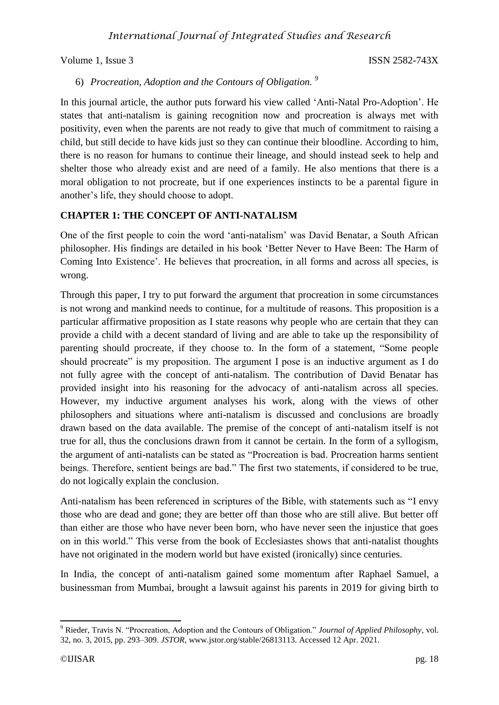## 6) *Procreation, Adoption and the Contours of Obligation.* <sup>9</sup>

In this journal article, the author puts forward his view called 'Anti-Natal Pro-Adoption'. He states that anti-natalism is gaining recognition now and procreation is always met with positivity, even when the parents are not ready to give that much of commitment to raising a child, but still decide to have kids just so they can continue their bloodline. According to him, there is no reason for humans to continue their lineage, and should instead seek to help and shelter those who already exist and are need of a family. He also mentions that there is a moral obligation to not procreate, but if one experiences instincts to be a parental figure in another's life, they should choose to adopt.

## **CHAPTER 1: THE CONCEPT OF ANTI-NATALISM**

One of the first people to coin the word 'anti-natalism' was David Benatar, a South African philosopher. His findings are detailed in his book 'Better Never to Have Been: The Harm of Coming Into Existence'. He believes that procreation, in all forms and across all species, is wrong.

Through this paper, I try to put forward the argument that procreation in some circumstances is not wrong and mankind needs to continue, for a multitude of reasons. This proposition is a particular affirmative proposition as I state reasons why people who are certain that they can provide a child with a decent standard of living and are able to take up the responsibility of parenting should procreate, if they choose to. In the form of a statement, "Some people should procreate" is my proposition. The argument I pose is an inductive argument as I do not fully agree with the concept of anti-natalism. The contribution of David Benatar has provided insight into his reasoning for the advocacy of anti-natalism across all species. However, my inductive argument analyses his work, along with the views of other philosophers and situations where anti-natalism is discussed and conclusions are broadly drawn based on the data available. The premise of the concept of anti-natalism itself is not true for all, thus the conclusions drawn from it cannot be certain. In the form of a syllogism, the argument of anti-natalists can be stated as "Procreation is bad. Procreation harms sentient beings. Therefore, sentient beings are bad." The first two statements, if considered to be true, do not logically explain the conclusion.

Anti-natalism has been referenced in scriptures of the Bible, with statements such as "I envy those who are dead and gone; they are better off than those who are still alive. But better off than either are those who have never been born, who have never seen the injustice that goes on in this world." This verse from the book of Ecclesiastes shows that anti-natalist thoughts have not originated in the modern world but have existed (ironically) since centuries.

In India, the concept of anti-natalism gained some momentum after Raphael Samuel, a businessman from Mumbai, brought a lawsuit against his parents in 2019 for giving birth to

**<sup>.</sup>** <sup>9</sup> Rieder, Travis N. "Procreation, Adoption and the Contours of Obligation." *Journal of Applied Philosophy*, vol. 32, no. 3, 2015, pp. 293–309. *JSTOR*, www.jstor.org/stable/26813113. Accessed 12 Apr. 2021.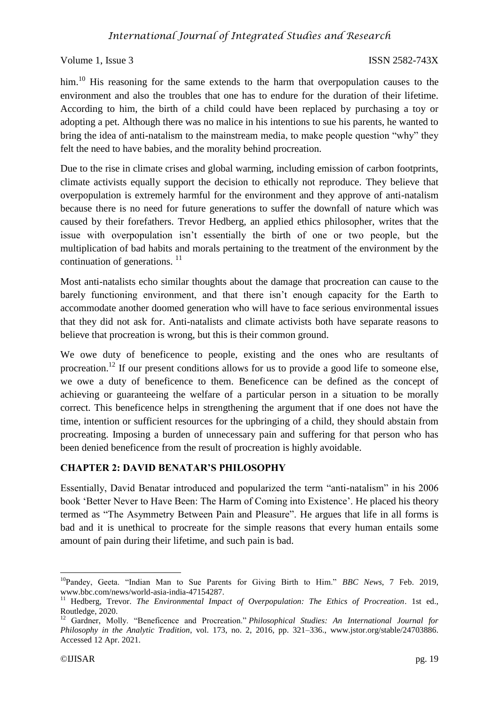him.<sup>10</sup> His reasoning for the same extends to the harm that overpopulation causes to the environment and also the troubles that one has to endure for the duration of their lifetime. According to him, the birth of a child could have been replaced by purchasing a toy or adopting a pet. Although there was no malice in his intentions to sue his parents, he wanted to bring the idea of anti-natalism to the mainstream media, to make people question "why" they felt the need to have babies, and the morality behind procreation.

Due to the rise in climate crises and global warming, including emission of carbon footprints, climate activists equally support the decision to ethically not reproduce. They believe that overpopulation is extremely harmful for the environment and they approve of anti-natalism because there is no need for future generations to suffer the downfall of nature which was caused by their forefathers. Trevor Hedberg, an applied ethics philosopher, writes that the issue with overpopulation isn't essentially the birth of one or two people, but the multiplication of bad habits and morals pertaining to the treatment of the environment by the continuation of generations.<sup>11</sup>

Most anti-natalists echo similar thoughts about the damage that procreation can cause to the barely functioning environment, and that there isn't enough capacity for the Earth to accommodate another doomed generation who will have to face serious environmental issues that they did not ask for. Anti-natalists and climate activists both have separate reasons to believe that procreation is wrong, but this is their common ground.

We owe duty of beneficence to people, existing and the ones who are resultants of procreation.<sup>12</sup> If our present conditions allows for us to provide a good life to someone else, we owe a duty of beneficence to them. Beneficence can be defined as the concept of achieving or guaranteeing the welfare of a particular person in a situation to be morally correct. This beneficence helps in strengthening the argument that if one does not have the time, intention or sufficient resources for the upbringing of a child, they should abstain from procreating. Imposing a burden of unnecessary pain and suffering for that person who has been denied beneficence from the result of procreation is highly avoidable.

## **CHAPTER 2: DAVID BENATAR'S PHILOSOPHY**

Essentially, David Benatar introduced and popularized the term "anti-natalism" in his 2006 book 'Better Never to Have Been: The Harm of Coming into Existence'. He placed his theory termed as "The Asymmetry Between Pain and Pleasure". He argues that life in all forms is bad and it is unethical to procreate for the simple reasons that every human entails some amount of pain during their lifetime, and such pain is bad.

**<sup>.</sup>** <sup>10</sup>Pandey, Geeta. "Indian Man to Sue Parents for Giving Birth to Him." *BBC News*, 7 Feb. 2019, www.bbc.com/news/world-asia-india-47154287.

<sup>&</sup>lt;sup>11</sup> Hedberg, Trevor. *The Environmental Impact of Overpopulation: The Ethics of Procreation*. 1st ed., Routledge, 2020.

<sup>12</sup> Gardner, Molly. "Beneficence and Procreation." *Philosophical Studies: An International Journal for Philosophy in the Analytic Tradition*, vol. 173, no. 2, 2016, pp. 321–336., www.jstor.org/stable/24703886. Accessed 12 Apr. 2021.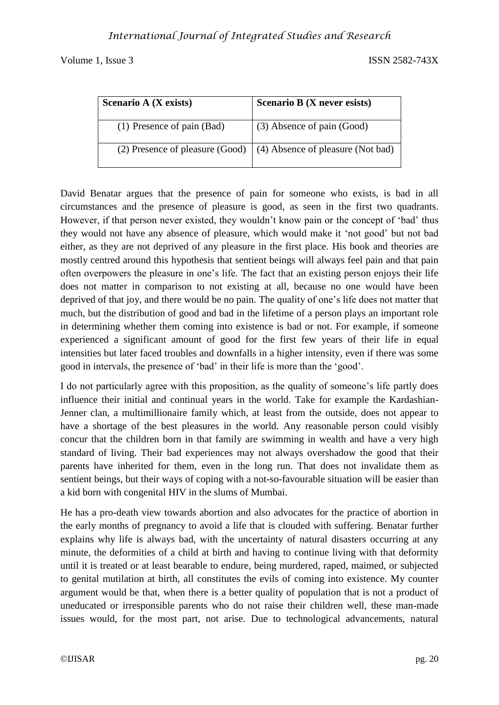| Scenario A (X exists)      | Scenario B (X never esists)                                              |
|----------------------------|--------------------------------------------------------------------------|
| (1) Presence of pain (Bad) | (3) Absence of pain (Good)                                               |
|                            | (2) Presence of pleasure (Good) $\mid$ (4) Absence of pleasure (Not bad) |

David Benatar argues that the presence of pain for someone who exists, is bad in all circumstances and the presence of pleasure is good, as seen in the first two quadrants. However, if that person never existed, they wouldn't know pain or the concept of 'bad' thus they would not have any absence of pleasure, which would make it 'not good' but not bad either, as they are not deprived of any pleasure in the first place. His book and theories are mostly centred around this hypothesis that sentient beings will always feel pain and that pain often overpowers the pleasure in one's life. The fact that an existing person enjoys their life does not matter in comparison to not existing at all, because no one would have been deprived of that joy, and there would be no pain. The quality of one's life does not matter that much, but the distribution of good and bad in the lifetime of a person plays an important role in determining whether them coming into existence is bad or not. For example, if someone experienced a significant amount of good for the first few years of their life in equal intensities but later faced troubles and downfalls in a higher intensity, even if there was some good in intervals, the presence of 'bad' in their life is more than the 'good'.

I do not particularly agree with this proposition, as the quality of someone's life partly does influence their initial and continual years in the world. Take for example the Kardashian-Jenner clan, a multimillionaire family which, at least from the outside, does not appear to have a shortage of the best pleasures in the world. Any reasonable person could visibly concur that the children born in that family are swimming in wealth and have a very high standard of living. Their bad experiences may not always overshadow the good that their parents have inherited for them, even in the long run. That does not invalidate them as sentient beings, but their ways of coping with a not-so-favourable situation will be easier than a kid born with congenital HIV in the slums of Mumbai.

He has a pro-death view towards abortion and also advocates for the practice of abortion in the early months of pregnancy to avoid a life that is clouded with suffering. Benatar further explains why life is always bad, with the uncertainty of natural disasters occurring at any minute, the deformities of a child at birth and having to continue living with that deformity until it is treated or at least bearable to endure, being murdered, raped, maimed, or subjected to genital mutilation at birth, all constitutes the evils of coming into existence. My counter argument would be that, when there is a better quality of population that is not a product of uneducated or irresponsible parents who do not raise their children well, these man-made issues would, for the most part, not arise. Due to technological advancements, natural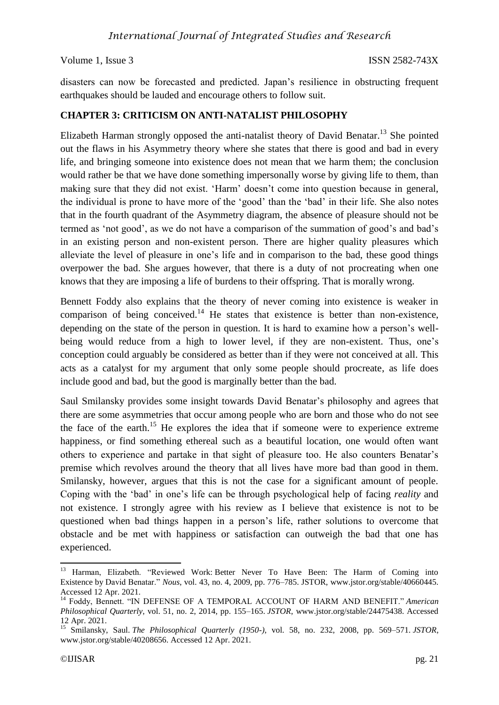disasters can now be forecasted and predicted. Japan's resilience in obstructing frequent earthquakes should be lauded and encourage others to follow suit.

### **CHAPTER 3: CRITICISM ON ANTI-NATALIST PHILOSOPHY**

Elizabeth Harman strongly opposed the anti-natalist theory of David Benatar.<sup>13</sup> She pointed out the flaws in his Asymmetry theory where she states that there is good and bad in every life, and bringing someone into existence does not mean that we harm them; the conclusion would rather be that we have done something impersonally worse by giving life to them, than making sure that they did not exist. 'Harm' doesn't come into question because in general, the individual is prone to have more of the 'good' than the 'bad' in their life. She also notes that in the fourth quadrant of the Asymmetry diagram, the absence of pleasure should not be termed as 'not good', as we do not have a comparison of the summation of good's and bad's in an existing person and non-existent person. There are higher quality pleasures which alleviate the level of pleasure in one's life and in comparison to the bad, these good things overpower the bad. She argues however, that there is a duty of not procreating when one knows that they are imposing a life of burdens to their offspring. That is morally wrong.

Bennett Foddy also explains that the theory of never coming into existence is weaker in comparison of being conceived.<sup>14</sup> He states that existence is better than non-existence, depending on the state of the person in question. It is hard to examine how a person's wellbeing would reduce from a high to lower level, if they are non-existent. Thus, one's conception could arguably be considered as better than if they were not conceived at all. This acts as a catalyst for my argument that only some people should procreate, as life does include good and bad, but the good is marginally better than the bad.

Saul Smilansky provides some insight towards David Benatar's philosophy and agrees that there are some asymmetries that occur among people who are born and those who do not see the face of the earth.<sup>15</sup> He explores the idea that if someone were to experience extreme happiness, or find something ethereal such as a beautiful location, one would often want others to experience and partake in that sight of pleasure too. He also counters Benatar's premise which revolves around the theory that all lives have more bad than good in them. Smilansky, however, argues that this is not the case for a significant amount of people. Coping with the 'bad' in one's life can be through psychological help of facing *reality* and not existence. I strongly agree with his review as I believe that existence is not to be questioned when bad things happen in a person's life, rather solutions to overcome that obstacle and be met with happiness or satisfaction can outweigh the bad that one has experienced.

**<sup>.</sup>** <sup>13</sup> Harman, Elizabeth. "Reviewed Work: Better Never To Have Been: The Harm of Coming into Existence by David Benatar." *Nous*, vol. 43, no. 4, 2009, pp. 776–785. JSTOR, www.jstor.org/stable/40660445. Accessed 12 Apr. 2021.

<sup>&</sup>lt;sup>14</sup> Foddy, Bennett. "IN DEFENSE OF A TEMPORAL ACCOUNT OF HARM AND BENEFIT." *American Philosophical Quarterly*, vol. 51, no. 2, 2014, pp. 155–165. *JSTOR*, www.jstor.org/stable/24475438. Accessed 12 Apr. 2021.

<sup>15</sup> Smilansky, Saul. *The Philosophical Quarterly (1950-)*, vol. 58, no. 232, 2008, pp. 569–571. *JSTOR*, www.jstor.org/stable/40208656. Accessed 12 Apr. 2021.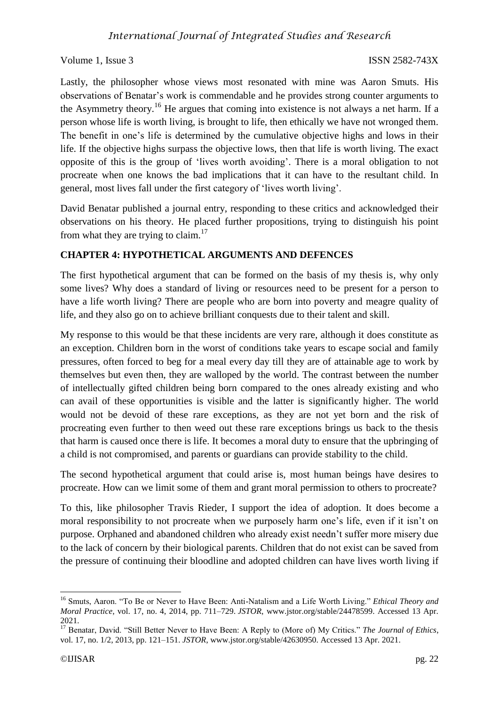Lastly, the philosopher whose views most resonated with mine was Aaron Smuts. His observations of Benatar's work is commendable and he provides strong counter arguments to the Asymmetry theory.<sup>16</sup> He argues that coming into existence is not always a net harm. If a person whose life is worth living, is brought to life, then ethically we have not wronged them. The benefit in one's life is determined by the cumulative objective highs and lows in their life. If the objective highs surpass the objective lows, then that life is worth living. The exact opposite of this is the group of 'lives worth avoiding'. There is a moral obligation to not procreate when one knows the bad implications that it can have to the resultant child. In general, most lives fall under the first category of 'lives worth living'.

David Benatar published a journal entry, responding to these critics and acknowledged their observations on his theory. He placed further propositions, trying to distinguish his point from what they are trying to claim. $^{17}$ 

## **CHAPTER 4: HYPOTHETICAL ARGUMENTS AND DEFENCES**

The first hypothetical argument that can be formed on the basis of my thesis is, why only some lives? Why does a standard of living or resources need to be present for a person to have a life worth living? There are people who are born into poverty and meagre quality of life, and they also go on to achieve brilliant conquests due to their talent and skill.

My response to this would be that these incidents are very rare, although it does constitute as an exception. Children born in the worst of conditions take years to escape social and family pressures, often forced to beg for a meal every day till they are of attainable age to work by themselves but even then, they are walloped by the world. The contrast between the number of intellectually gifted children being born compared to the ones already existing and who can avail of these opportunities is visible and the latter is significantly higher. The world would not be devoid of these rare exceptions, as they are not yet born and the risk of procreating even further to then weed out these rare exceptions brings us back to the thesis that harm is caused once there is life. It becomes a moral duty to ensure that the upbringing of a child is not compromised, and parents or guardians can provide stability to the child.

The second hypothetical argument that could arise is, most human beings have desires to procreate. How can we limit some of them and grant moral permission to others to procreate?

To this, like philosopher Travis Rieder, I support the idea of adoption. It does become a moral responsibility to not procreate when we purposely harm one's life, even if it isn't on purpose. Orphaned and abandoned children who already exist needn't suffer more misery due to the lack of concern by their biological parents. Children that do not exist can be saved from the pressure of continuing their bloodline and adopted children can have lives worth living if

**<sup>.</sup>** <sup>16</sup> Smuts, Aaron. "To Be or Never to Have Been: Anti-Natalism and a Life Worth Living." *Ethical Theory and Moral Practice*, vol. 17, no. 4, 2014, pp. 711–729. *JSTOR*, www.jstor.org/stable/24478599. Accessed 13 Apr. 2021.

<sup>17</sup> Benatar, David. "Still Better Never to Have Been: A Reply to (More of) My Critics." *The Journal of Ethics*, vol. 17, no. 1/2, 2013, pp. 121–151. *JSTOR*, www.jstor.org/stable/42630950. Accessed 13 Apr. 2021.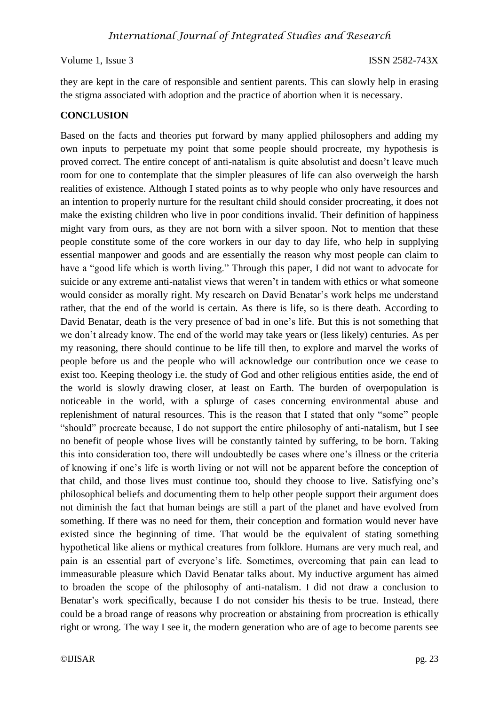they are kept in the care of responsible and sentient parents. This can slowly help in erasing the stigma associated with adoption and the practice of abortion when it is necessary.

## **CONCLUSION**

Based on the facts and theories put forward by many applied philosophers and adding my own inputs to perpetuate my point that some people should procreate, my hypothesis is proved correct. The entire concept of anti-natalism is quite absolutist and doesn't leave much room for one to contemplate that the simpler pleasures of life can also overweigh the harsh realities of existence. Although I stated points as to why people who only have resources and an intention to properly nurture for the resultant child should consider procreating, it does not make the existing children who live in poor conditions invalid. Their definition of happiness might vary from ours, as they are not born with a silver spoon. Not to mention that these people constitute some of the core workers in our day to day life, who help in supplying essential manpower and goods and are essentially the reason why most people can claim to have a "good life which is worth living." Through this paper, I did not want to advocate for suicide or any extreme anti-natalist views that weren't in tandem with ethics or what someone would consider as morally right. My research on David Benatar's work helps me understand rather, that the end of the world is certain. As there is life, so is there death. According to David Benatar, death is the very presence of bad in one's life. But this is not something that we don't already know. The end of the world may take years or (less likely) centuries. As per my reasoning, there should continue to be life till then, to explore and marvel the works of people before us and the people who will acknowledge our contribution once we cease to exist too. Keeping theology i.e. the study of God and other religious entities aside, the end of the world is slowly drawing closer, at least on Earth. The burden of overpopulation is noticeable in the world, with a splurge of cases concerning environmental abuse and replenishment of natural resources. This is the reason that I stated that only "some" people "should" procreate because, I do not support the entire philosophy of anti-natalism, but I see no benefit of people whose lives will be constantly tainted by suffering, to be born. Taking this into consideration too, there will undoubtedly be cases where one's illness or the criteria of knowing if one's life is worth living or not will not be apparent before the conception of that child, and those lives must continue too, should they choose to live. Satisfying one's philosophical beliefs and documenting them to help other people support their argument does not diminish the fact that human beings are still a part of the planet and have evolved from something. If there was no need for them, their conception and formation would never have existed since the beginning of time. That would be the equivalent of stating something hypothetical like aliens or mythical creatures from folklore. Humans are very much real, and pain is an essential part of everyone's life. Sometimes, overcoming that pain can lead to immeasurable pleasure which David Benatar talks about. My inductive argument has aimed to broaden the scope of the philosophy of anti-natalism. I did not draw a conclusion to Benatar's work specifically, because I do not consider his thesis to be true. Instead, there could be a broad range of reasons why procreation or abstaining from procreation is ethically right or wrong. The way I see it, the modern generation who are of age to become parents see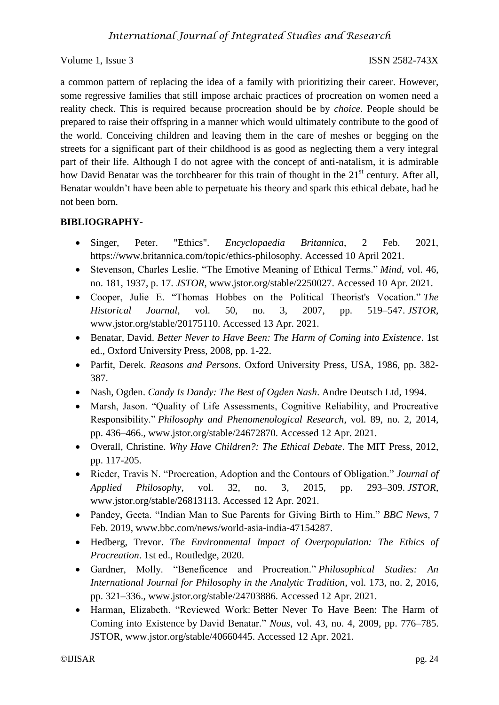a common pattern of replacing the idea of a family with prioritizing their career. However, some regressive families that still impose archaic practices of procreation on women need a reality check. This is required because procreation should be by *choice*. People should be prepared to raise their offspring in a manner which would ultimately contribute to the good of the world. Conceiving children and leaving them in the care of meshes or begging on the streets for a significant part of their childhood is as good as neglecting them a very integral part of their life. Although I do not agree with the concept of anti-natalism, it is admirable how David Benatar was the torchbearer for this train of thought in the 21<sup>st</sup> century. After all, Benatar wouldn't have been able to perpetuate his theory and spark this ethical debate, had he not been born.

## **BIBLIOGRAPHY-**

- Singer, Peter. "Ethics". *Encyclopaedia Britannica*, 2 Feb. 2021, https://www.britannica.com/topic/ethics-philosophy. Accessed 10 April 2021.
- Stevenson, Charles Leslie. "The Emotive Meaning of Ethical Terms." *Mind*, vol. 46, no. 181, 1937, p. 17. *JSTOR*, www.jstor.org/stable/2250027. Accessed 10 Apr. 2021.
- Cooper, Julie E. "Thomas Hobbes on the Political Theorist's Vocation." *The Historical Journal*, vol. 50, no. 3, 2007, pp. 519–547. *JSTOR*, www.jstor.org/stable/20175110. Accessed 13 Apr. 2021.
- Benatar, David. *Better Never to Have Been: The Harm of Coming into Existence*. 1st ed., Oxford University Press, 2008, pp. 1-22.
- Parfit, Derek. *Reasons and Persons*. Oxford University Press, USA, 1986, pp. 382- 387.
- Nash, Ogden. *Candy Is Dandy: The Best of Ogden Nash*. Andre Deutsch Ltd, 1994.
- Marsh, Jason. "Quality of Life Assessments, Cognitive Reliability, and Procreative Responsibility." *Philosophy and Phenomenological Research*, vol. 89, no. 2, 2014, pp. 436–466., www.jstor.org/stable/24672870. Accessed 12 Apr. 2021.
- Overall, Christine. *Why Have Children?: The Ethical Debate*. The MIT Press, 2012, pp. 117-205.
- Rieder, Travis N. "Procreation, Adoption and the Contours of Obligation." *Journal of Applied Philosophy*, vol. 32, no. 3, 2015, pp. 293–309. *JSTOR*, www.jstor.org/stable/26813113. Accessed 12 Apr. 2021.
- Pandey, Geeta. "Indian Man to Sue Parents for Giving Birth to Him." *BBC News*, 7 Feb. 2019, www.bbc.com/news/world-asia-india-47154287.
- Hedberg, Trevor. *The Environmental Impact of Overpopulation: The Ethics of Procreation*. 1st ed., Routledge, 2020.
- Gardner, Molly. "Beneficence and Procreation." *Philosophical Studies: An International Journal for Philosophy in the Analytic Tradition*, vol. 173, no. 2, 2016, pp. 321–336., www.jstor.org/stable/24703886. Accessed 12 Apr. 2021.
- Harman, Elizabeth. "Reviewed Work: Better Never To Have Been: The Harm of Coming into Existence by David Benatar." *Nous*, vol. 43, no. 4, 2009, pp. 776–785. JSTOR, www.jstor.org/stable/40660445. Accessed 12 Apr. 2021.